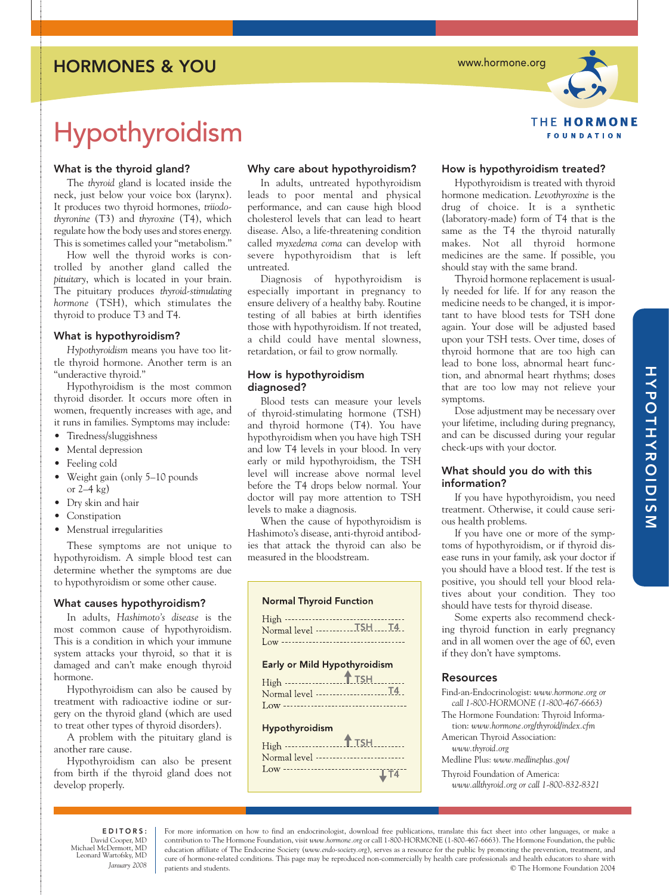### HORMONES & YOU

www.hormone.org

# **THE HORMONE FOUNDATION**

## Hypothyroidism

#### What is the thyroid gland?

The *thyroid* gland is located inside the neck, just below your voice box (larynx). It produces two thyroid hormones, *triiodothyronine* (T3) and *thyroxine* (T4), which regulate how the body uses and stores energy. This is sometimes called your "metabolism."

How well the thyroid works is controlled by another gland called the *pituitary*, which is located in your brain. The pituitary produces *thyroid-stimulating hormone* (TSH), which stimulates the thyroid to produce T3 and T4.

#### What is hypothyroidism?

*Hypothyroidism* means you have too little thyroid hormone. Another term is an "underactive thyroid."

Hypothyroidism is the most common thyroid disorder. It occurs more often in women, frequently increases with age, and it runs in families. Symptoms may include:

- Tiredness/sluggishness
- Mental depression
- Feeling cold
- Weight gain (only 5–10 pounds or  $2-4$  kg)
- Dry skin and hair
- Constipation
- Menstrual irregularities

These symptoms are not unique to hypothyroidism. A simple blood test can determine whether the symptoms are due to hypothyroidism or some other cause.

#### What causes hypothyroidism?

In adults, *Hashimoto's disease* is the most common cause of hypothyroidism. This is a condition in which your immune system attacks your thyroid, so that it is damaged and can't make enough thyroid hormone.

Hypothyroidism can also be caused by treatment with radioactive iodine or surgery on the thyroid gland (which are used to treat other types of thyroid disorders).

A problem with the pituitary gland is another rare cause.

Hypothyroidism can also be present from birth if the thyroid gland does not develop properly.

#### Why care about hypothyroidism?

In adults, untreated hypothyroidism leads to poor mental and physical performance, and can cause high blood cholesterol levels that can lead to heart disease. Also, a life-threatening condition called *myxedema coma* can develop with severe hypothyroidism that is left untreated.

Diagnosis of hypothyroidism is especially important in pregnancy to ensure delivery of a healthy baby. Routine testing of all babies at birth identifies those with hypothyroidism. If not treated, a child could have mental slowness, retardation, or fail to grow normally.

#### How is hypothyroidism diagnosed?

Blood tests can measure your levels of thyroid-stimulating hormone (TSH) and thyroid hormone (T4). You have hypothyroidism when you have high TSH and low T4 levels in your blood. In very early or mild hypothyroidism, the TSH level will increase above normal level before the T4 drops below normal. Your doctor will pay more attention to TSH levels to make a diagnosis.

When the cause of hypothyroidism is Hashimoto's disease, anti-thyroid antibodies that attack the thyroid can also be measured in the bloodstream.

#### **Normal Thyroid Function**



#### Early or Mild Hypothyroidism

| High -------------------T_TSH________ |  |
|---------------------------------------|--|
|                                       |  |
|                                       |  |
|                                       |  |

#### Hypothyroidism

| Normal level --------------------------- |
|------------------------------------------|
|                                          |
|                                          |

#### How is hypothyroidism treated?

Hypothyroidism is treated with thyroid hormone medication. *Levothyroxine* is the drug of choice. It is a synthetic (laboratory-made) form of T4 that is the same as the T4 the thyroid naturally makes. Not all thyroid hormone medicines are the same. If possible, you should stay with the same brand.

Thyroid hormone replacement is usually needed for life. If for any reason the medicine needs to be changed, it is important to have blood tests for TSH done again. Your dose will be adjusted based upon your TSH tests. Over time, doses of thyroid hormone that are too high can lead to bone loss, abnormal heart function, and abnormal heart rhythms; doses that are too low may not relieve your symptoms.

Dose adjustment may be necessary over your lifetime, including during pregnancy, and can be discussed during your regular check-ups with your doctor.

#### What should you do with this information?

If you have hypothyroidism, you need treatment. Otherwise, it could cause serious health problems.

If you have one or more of the symptoms of hypothyroidism, or if thyroid disease runs in your family, ask your doctor if you should have a blood test. If the test is positive, you should tell your blood relatives about your condition. They too should have tests for thyroid disease.

Some experts also recommend checking thyroid function in early pregnancy and in all women over the age of 60, even if they don't have symptoms.

#### **Resources**

Find-an-Endocrinologist: *www.hormone.org or call 1-800-HORMONE (1-800-467-6663)*

The Hormone Foundation: Thyroid Information: *www.hormone.org/thyroid/index.cfm*

American Thyroid Association: *www.thyroid.org* 

Medline Plus: *www.medlineplus.gov/* 

Thyroid Foundation of America:

*www.allthyroid.org or call 1-800-832-8321*

EDITORS: David Cooper, MD Michael McDermott, MD Leonard Wartofsky, MD *January 2008*

For more information on how to find an endocrinologist, download free publications, translate this fact sheet into other languages, or make a contribution to The Hormone Foundation, visit *www.hormone.org* or call 1-800-HORMONE (1-800-467-6663). The Hormone Foundation, the public education affiliate of The Endocrine Society (*www.endo-society.org*), serves as a resource for the public by promoting the prevention, treatment, and cure of hormone-related conditions. This page may be reproduced non-commercially by health care professionals and health educators to share with patients and students. © The Hormone Foundation 2004